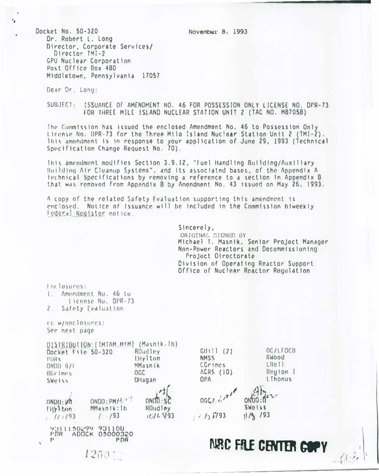November 8, 1993

Docket No. 50-320 Dr. Robert L. Long Director, Corporate Services/ Director TMI-2 GPU Nuclear Corporation Post Office Box 480 Middletown, Pennsylvania 17057

Dear Dr. Long:

٠,

SUBJECT: ISSUANCE OF AMENDMENT NO. 46 FOR POSSESSION ONLY LICENSE NO. DPR-73 FOR THREE MILE ISLAND NUCLEAR STATION UNIT 2 (TAC NO. M87058)

The Commission has issued the enclosed Amendment No. 46 to Possession Only iscense No. DPR-73 for the Three Mile Island Nuclear Station Unit 2 (TMI-2), lhis amendment is in response to your application of June 29, 1993 (Technical Specification Change Request No. 70).

This amendment modifies Section 3.9.12, "Fuel Handling Building/Auxiliary Building Air Cleanup Systems", and its associated bases, of the Appendix A. fechnical Specifications by removing a reference to a section in Appendix B that was removed from Appendix B by Amendment No. 43 issued on May 26, 1993.

A copy of the related Safety Evaluation supporting this amendment is enclosed. Nation of Issuance will be included in the Commission biweekly Federal Register notice.

> Sincerely, ORIGINAL SIGNED BY Michael T. Masnik, Senior Project Manager Non-Power Reactors and Decommissioning Project Ofrectorate Division of Operating Reactor Support Office of Nuclear Reactor Requiation

> > OC/LEDCB

Reyion I

**Lihonus** 

RWood

 $LBe11$ 

Enclosures: 1. Amendment No. 46 to License Nu. DPR-73 2. Safety Evaluation cc w/enclosures: See next page DISTRIBUTION: [IMIAM.MTM] (Masnik=1b)  $GHill(2)$  $R0$ udley Docket File 50-320 Ellylton **NMSS** PIRe CGrimes  $ONDD$  $R/I$ MMasnik ACRS (10) BGrimes **OGC Dilagan**  $OPA$ **SWellss**  $00C/27$ ONOD: PMM  $ONDD:SC$  $OND1:VR$ **SWO155**  $F1151$  con MMasnik: lb RDudley  $1/93$  $IC/L$   $193$  $1/25/93$  $11/97/93$  $11/93$ 2311150277 731100 **PDR ADOCK 05000320**  $\mathbb{P}$ PDR *MRC FILE CENTER COPY* 

 $1200 - 1$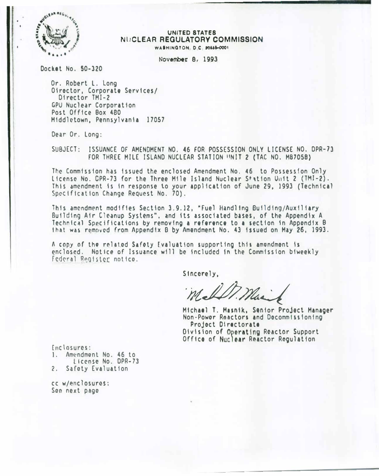

#### UNITED STATES NUCLEAR REGULATORY COMMISSION WASHINGTON, D.C. 20446-0001

November 8, 1993

Docket No. 50-320

Or. Robert L. Long Oiroctor, Corporate Services/ Director TMI-2 GPU Nuclear Corporation Post Office Box 480 Middletown, Pennsylvania 17057

Dear Or. Long:

SUBJECT: ISSUANCE OF AMENDMENT NO. 46 FOR POSSESSION ONLY LICENSE NO. DPR-73 FOR THREE MILE ISLAND NUCLEAR STATION UNIT 2 (TAC NO. M87058)

The Commission has issued the enclosed Amendment No. 46 to Possession Only License No. CPR-73 for the Three Mile Island Nuclear Station Unit 2 (TMI-2). This amendment is in response to your application of June 29. 1993 (Technical Specification Change Request No. 70).

This amendment modifies Section 3.9.12, "Fuel Handling Building/Auxiliary" Building Air Cleanup Systems", and its associated bases, of the Appendix A Technical Specifications by removing a reference to a section in Appondix B That was removed from Appendix B by Amendment No. 43 issued on May 26, 1993.

A copy of the related Safety Evaluation supporting this amendment is enclosed. Notice of Issuance will be included in the Commission biweekly Federal Register notico.

Sincerely.

Michael T. Masnik, Senior Project Manager Non-Power Reactors and Decommissioning Project Directorate Oivision of Operating Reactor Support Office of Nuclear Reactor Regulation

Inclosures: 1. Amendment No. 46 to License No. DPR-73

2. Safoty Evaluation

cc w/enclosures: Son next pago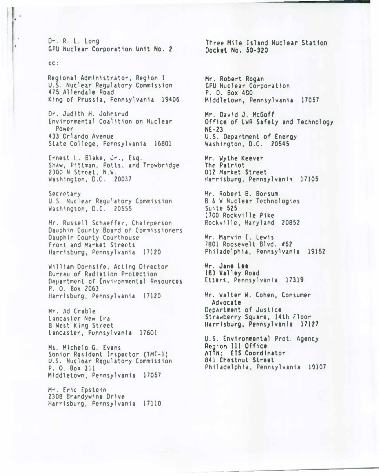Dr. R. L. Long GPU Nuclear Corporation Unit No. 2

#### $CC:$

Regional Administrator, Region I U.S. Nuclear Regulatory Commission 475 Allendale Road King of Prussia, Pennsylvania 19406

Dr. Judith H. Johnsrud Environmental Coalition on Nuclear Power 433 Orlando Avenue State College, Pennsylvania 16801

Ernest L. Blake, Jr., Esq. Shaw, Pittman, Potts, and Trowbridge<br>2300 N Street, N.W. Washington, D.C. 20037

Secretary U.S. Nuclear Regulatory Commission Washington, D.C. 20555

Mr. Russell Schaeffer, Chairperson Dauphin County Board of Commissioners Dauphin County Courthouse Front and Market Streets Harrisburg, Pennsylvania 17120

William Dornsife, Acting Director Bureau of Radiation Protection Department of Environmental Resources P. O. Box 2063 Harrisburg, Pennsylvania 17120

Mr. Ad Crable Lancaster New Era **8 West King Street** Lancaster, Pennsylvania 17601

Ms. Michelo G. Evans Sonior Resident Inspector (TMI-1) U.S. Nuclear Regulatory Commission P. O. Box 311 Middletown, Pennsylvania 17057

Mr. Eric Epstein 2308 Brandywine Drive Harrisburg, Pennsylvania 17110 Three Mile Island Nuclear Station Docket No. 50-320

Mr. Robert Rogan GPU Nuclear Corporation P. O. Box 450 Middletown, Pennsylvania 17057

Mr. David J. McGoff Office of LWR Safety and Technology  $NE-23$ U.S. Department of Energy Washington, D.C. 20545

Mr. Wythe Keever The Patriot 812 Market Street Harrisburg, Pennsylvania 17105

Mr. Robert B. Borsum **B & W Nuclear Technologies** Suite 525 1700 Rockville Pike Rockville, Maryland 20852

Mr. Marvin I. Lewis 7801 Roosevelt Blvd. #62 Philadelphia, Pennsylvania 19152

Mr. Jane Lee 183 Valley Road Etters, Pennsylvania 17319

Mr. Walter W. Cohen, Consumer Advocate Department of Justice Strawberry Square, 14th Floor Harrisburg, Pennsylvania 17127

U.S. Environmental Prot. Agency Region III Office ATTN: EIS Coordinator 841 Chestnut Street Philadelphia, Pennsylvania 19107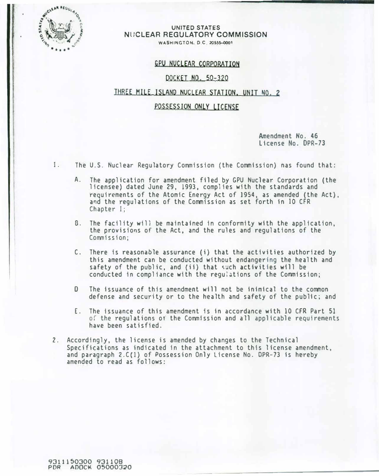

#### UNITED STATES NlJCLEAR REGULATORY COMMISSION WASHINGTON, D.C. 20555-0001

## GPU NUCLEAR CORPORATION

### DOCKET NO. 50-320

### THREE MILE ISLAND NUCLEAR STATION. UNIT NO. 2

### POSSESSION ONLY LICENSE

Amendment No. 46 License No. OPR-73

1. The U.S. Nuclear Regulatory Commission (the Commission) nas found that:

- A. The application for amendment filed by GPU Nuclear Corporation (the licensee) dated June 29, 1993, complies with the standards and requirements of the Atomic Energy Act of 1954, as amended (the Act), and the regulations of the Commission as set forth in 10 CFR Chapter I;
- B. The facility will be maintained in conformity with the application, the provisions of the Act, and the rules and regulations of the Commission;
- C. There is reasonable assurance (i) that the activities authorized by this amendment can be conducted without endangering the health and safety of the public, and {ii) that �uch activities will be conducted in compliance with the regulations of the Commission;
- 0 The issuance of this amendment will not be inimical to the common defense and security or to the health and safety of the public; and
- E. The issuance of this amendment is in accordance with 10 CFR Part 51 oi the regulations ot the Commission and all applicable requirements have been satisfied.
- 2. Accordingly, the license is amended by changes to the Technical Specifications as indicated in the attachment to this license amendment, and paragraph 2.C(l) of Possession Only License No. DPR-73 is hereby amended to read as follows:

9311150300 931108 POR AOOCK 05000320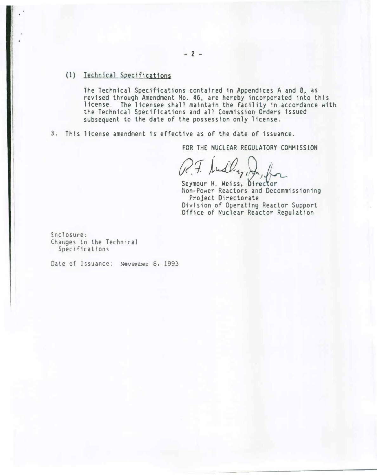# (1) Technical Specifications

The Technical Specifications contained 1n Appendices A and 8, as revised through Amendment No. 46, are hereby incorporated into this license. The licensee shall maintain the facility in accordance with the Technical Specifications and all Commission Orders issued subsequent to the date of the possession only license.

3. This license amendment is effective as of the date of issuance.

FOR THE NUCLEAR REGULATORY COMMISSION

R.F. Sudly, Jo, for

Seymour H. Weiss, Director Non-Power Reactors and Decommissioning Project Directorate Division of Operating Reactor Support Office of Nuclear Reactor Regulation

Enclosure: Changes to the Technical Specifications

Date of Issuance: November 8, 1993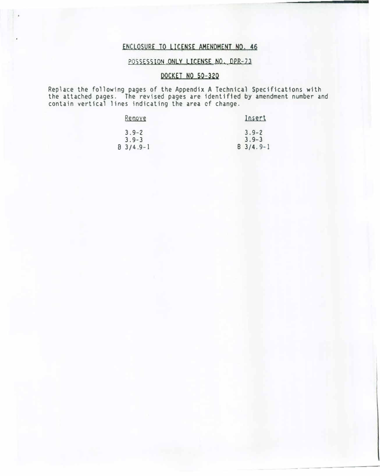# ENCLOSURE TO LICENSE AMENDMENT NO. 46

# POSSESSION ONLY LICENSE NO. DPR-73

# DOCKET NO 50-320

Replace the following pages of the Appendix A Technical Specifications with the attached pages. The revised pages are identified by amendment number and contain vertical lines indicating the area cf change.

| Remove      | Insert      |
|-------------|-------------|
| $3.9 - 2$   | $3.9 - 2$   |
| $3.9 - 3$   | $3.9 - 3$   |
| $B$ 3/4.9-1 | $B$ 3/4.9-1 |

---------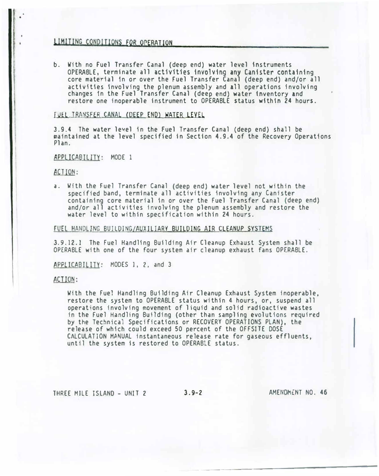# LIMJTING CONDITIONS FOR OPERATION

b. With no Fuel Transfer Canal (deep end) water level instruments OPERABLE, terminate all activities involving any Canister containing core material in or over the Fuel Transfer Canal (deep end) and/or all activities involving the plenum assembly and all operations involving changes 1n the Fuel Transfer Canal (deep end) water inventory and restore one inoperable instrument to OPERABLE status within 24 hours.

### FUEL TRANSFER CANAL (DEEP END) WATER LEVEL

3.9.4 The water level in the Fuel Transfer Canal (deep end) shall be maintained at the level specified in Section 4.9.4 of the Recovery Operations Plan.

APPLICABILITY: MODE 1

ACTION:

a. With the Fuel Transfer Canal (deep end) water level not within the specified band, terminate all activities involving any Canister containing core material in or over the Fuel Transfer Canal (deep end) and/or all activities involving the plenum assembly and restore the water level to within specification within 24 hours.

FUEL HANDLING BUILDING/AUXILIARY BUILDING AIR CLEANUP SYSTEMS

3.9.12. 1 The Fuel Handling Building Air Cleanup Exhaust System shall be OPERABLE with one of the four system air cleanup exhaust fans OPERABLE.

APPLICABILITY: HODES l, 2, and 3

#### ACTION:

With the Fuel Handling Building Air Cleanup Exhaust System inoperable, restore the system to OPERABLE status within 4 hours, or, suspend all operations involving movement of liquid and solid radioactive wastes in the Fuel Handling Building (other than sampling evolutions required by the Technical Specifications or RECOVERY OPERATIONS PLAN), the release of which could exceed 50 percent of the OFFSITE DOSE CALCULATION HPNUAL instantaneous release rate for gaseous effluents, until the system is restored to OPERABLE status.

THREE MILE ISLAND - UNIT 2 3.9-2 AMENDMENT NO. 46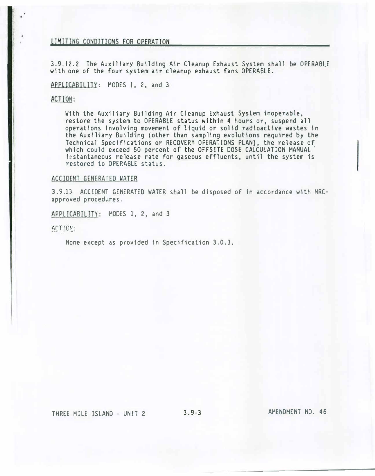### li�ITING CONDITIONS fOR OPERATION

3.9.12.2 The Auxiliary Building Air Cleanup Exhaust System shall be OPERABLE with one of the four system air cleanup exhaust fans OPERABLE.

APPLICABILITY: MODES 1, 2, and 3

### ACTION:

With the Auxiliary Building Air Cleanup Exhaust System inoperable, restore the system to OPERABLE status within 4 hours or, suspend all operations involving movement of liquid or solid radioactive wastes in the Auxiliary Building (other than sampling evolutions required by the Technical Specifications or RECOVERY OPERATIONS PLAN}, the release of which could exceed 50 percent of the OFFSITE DOSE CALCULATION MANUAL instantaneous release rate for gaseous effluents, until the system is restored to OPERABLE status.

#### ACCIDENT GENERATED WATER

3.9.13 ACCIDENT GENERATED WATER shall be disposed of in accordance with NRCapproved procedures.

APPLICABILITY: MODES 1, 2, and 3

ACTION:

None except as provided in Specification 3.0.3.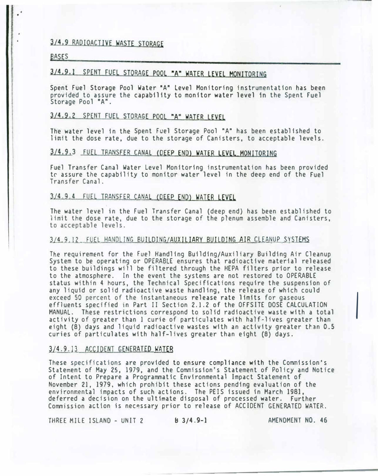# 3/4.9 RADIOACTIVE WASTE STORAGE

#### **BASES**

# 3/4.9.1 SPENT FUEL STORAGE POOL "A" WATER LEVEL MONITORING

Spent Fuel Storage Pool Water "A" Level Monitoring instrumentation has been provided to assure the capability to monitor water level in the Spent Fuel Storage Pool  $A''$ .

# 3/4.9.2 SPENT FUEL STORAGE POOL "A" WATER LEVEL

The water level in the Spent Fuel Storage Pool "A" has been established to limit the dose rate, due to the storage of Canisters, to acceptable levels.

# 3/4.9.3 FUEL TRANSFER CANAL (DEEP END) WATER LEVEL MONITORING

fuel Transfer Canal Water Level Monitoring instrumentation has been provided tr assure the capability to monitor water level in the deep end of the Fuel Transfer Canal.

# 3/4.9.4 FUEL TRANSFER CANAL COEEP END} WATER LEVEL

The water level in the Fuel Transfer Canal (deep end) has been established to limit the dose rate, due to the storage of the plenum assemble and Canisters, to acceptable levels.

### 3/4.9.12 FUEL HANDLING BUILDING/AUXILIARY BUILDING AIR CLEANUP SYSTEMS

The requirement for the Fuel Handling Building/Auxiliary Building Air Cleanup System to be operating or OPERABLE ensures that radioactive material released to these buildings will be filtered through the HEPA filters prior to release to the atmosphere. In the event the systems are not restored to OPERABLE status within 4 hours, the Technical Specifications require the suspension of any liquid or solid radioactive waste handling, the release of which could exceed 50 percent of the instantaneous release rate limits for gaseous exceed 50 percent of the instantaneous release rate limits for gaseous<br>effluents specified in Part II Section 2.1.2 of the OFFSITE DOSE CALCULATION<br>MANUAL. These restrictions correspond to solid radioactive waste with a to activity of greater than 1 curie of particulates with half-lives greater than eight (8) days and liquid radioactive wastes with an activity greater t�an 0.5 curies of particulates with half-lives greater than eight (8) days.

#### 3/4.9.13 ACCIDENT GENERATED WATER

These specifications are provided to ensure compliance with the Commission's Statement of May 25, 1979, and the Commission's Statement of Policy and Notice of Intent to Prepare a Programmatic Environmental Impact Statement of November 21, 1979, which prohibit these actions pending evaluation of the environmental impacts of such actions. The PElS issued in March 1981, deferred a decision on the ultimate disposal of processed water. Further Commission action is nec�ssary prior to release of ACCIDENT GENERATED WATER.

THREE MILE ISLAND - UNIT 2 B 3/4.9-1 AMENDMENT NO. 46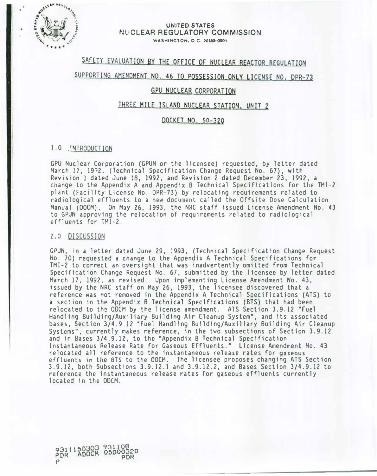

#### UNITED STATES NUCLEAR REGULATORY COMMISSION WASHINGTON, D.C. 20555-0001

# SAFETY EVALUATION BY THE OFFICE OF NUCLEAR REACTOR REGULATION

# SUPPORTING AMENDMENT NO. 46 TO POSSESSION ONLY LICENSE NO. DPR-73

# GPV NUCLEAR CORPORATION

# THREE MILE ISLAND NUCLEAR STATION. UNIT 2

### QOCKET NO. 50-320

### 1.0 'NTRODUCTION

GPU Nuclear Corporation (GPUN or the licensee) requested, by letter dated March 17, 1972. (Technical Specification Change Request No. 67), with Revision 1 dated June 18, 1992, and Revision 2 dated December 23, 1992, a change to the Appendix A and Appendix B Technical Specifications for the TMI-2 plant (Fac1lity License No. DPR-73) by relocating requirements related to radiological effluents to a new document called the Offsite Dose Calculation Manual (OOCM). On May 26, 1993, the NRC staff issued License Amendment No. 43 to GPUN approving the relocation of requirements related to radiological effluents for TMI-2.

### 2.0 DISCUSSION

GPUN, in a letter dated June 29, 1993, (Technical Specification Change Request No. 70) requested a change to the Appendix A Technical Specifications for TMI-2 to correct an oversight that was inadvertently omitted from Technical Specification Change Request No. 67, submitted by the licensee by letter dated March 17, 1992, as revised. Upon implementing License Amendment No. 43, 1ssued by the NRC staff on May 26, 1993, the licensee discovered that a reference was rot removed in the Appendix A Technical Specifications (ATS) to a section in the Appendix B Technical Specifications (BTS) that had been relocated to the ODCM by the license amendment. ATS Section 3.9.12 "Fuel Handling Builuing/Auxiliary Building Air Cleanup System", and its associated bases, Section 3/4.9.12 "Fuel Handling Building/Auxiliary Building Air Cleanup Systems�. currently makes reference, in the two subsections of Section 3.9.12 and in 8ases 3/4.9.12, to the "Appendix B Technical Specification Instantaneous Release Rate for Gaseous Effluents." License Amendment No. 43 relocated all reference to the instantaneous release rates for gaseous effluents in the BTS to the OOCM. The licensee proposes changing ATS Section 3.9.12, both Subsections 3.9.12.1 and 3.9.12.2, and Bases Section 3/4.9.12 to reference the instantaneous release rates for gaseous effluents currently located in the OOCM.